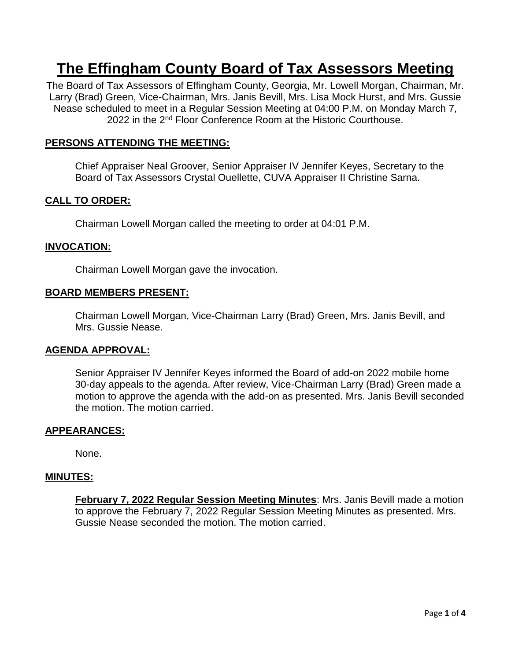# **The Effingham County Board of Tax Assessors Meeting**

The Board of Tax Assessors of Effingham County, Georgia, Mr. Lowell Morgan, Chairman, Mr. Larry (Brad) Green, Vice-Chairman, Mrs. Janis Bevill, Mrs. Lisa Mock Hurst, and Mrs. Gussie Nease scheduled to meet in a Regular Session Meeting at 04:00 P.M. on Monday March 7, 2022 in the 2<sup>nd</sup> Floor Conference Room at the Historic Courthouse.

# **PERSONS ATTENDING THE MEETING:**

Chief Appraiser Neal Groover, Senior Appraiser IV Jennifer Keyes, Secretary to the Board of Tax Assessors Crystal Ouellette, CUVA Appraiser II Christine Sarna.

## **CALL TO ORDER:**

Chairman Lowell Morgan called the meeting to order at 04:01 P.M.

## **INVOCATION:**

Chairman Lowell Morgan gave the invocation.

## **BOARD MEMBERS PRESENT:**

Chairman Lowell Morgan, Vice-Chairman Larry (Brad) Green, Mrs. Janis Bevill, and Mrs. Gussie Nease.

#### **AGENDA APPROVAL:**

Senior Appraiser IV Jennifer Keyes informed the Board of add-on 2022 mobile home 30-day appeals to the agenda. After review, Vice-Chairman Larry (Brad) Green made a motion to approve the agenda with the add-on as presented. Mrs. Janis Bevill seconded the motion. The motion carried.

#### **APPEARANCES:**

None.

#### **MINUTES:**

**February 7, 2022 Regular Session Meeting Minutes**: Mrs. Janis Bevill made a motion to approve the February 7, 2022 Regular Session Meeting Minutes as presented. Mrs. Gussie Nease seconded the motion. The motion carried.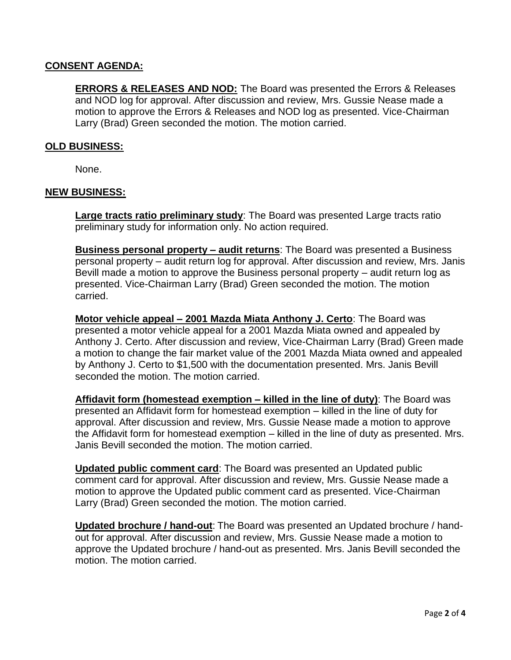# **CONSENT AGENDA:**

**ERRORS & RELEASES AND NOD:** The Board was presented the Errors & Releases and NOD log for approval. After discussion and review, Mrs. Gussie Nease made a motion to approve the Errors & Releases and NOD log as presented. Vice-Chairman Larry (Brad) Green seconded the motion. The motion carried.

## **OLD BUSINESS:**

None.

## **NEW BUSINESS:**

**Large tracts ratio preliminary study**: The Board was presented Large tracts ratio preliminary study for information only. No action required.

**Business personal property – audit returns**: The Board was presented a Business personal property – audit return log for approval. After discussion and review, Mrs. Janis Bevill made a motion to approve the Business personal property – audit return log as presented. Vice-Chairman Larry (Brad) Green seconded the motion. The motion carried.

**Motor vehicle appeal – 2001 Mazda Miata Anthony J. Certo**: The Board was presented a motor vehicle appeal for a 2001 Mazda Miata owned and appealed by Anthony J. Certo. After discussion and review, Vice-Chairman Larry (Brad) Green made a motion to change the fair market value of the 2001 Mazda Miata owned and appealed by Anthony J. Certo to \$1,500 with the documentation presented. Mrs. Janis Bevill seconded the motion. The motion carried.

**Affidavit form (homestead exemption – killed in the line of duty)**: The Board was presented an Affidavit form for homestead exemption – killed in the line of duty for approval. After discussion and review, Mrs. Gussie Nease made a motion to approve the Affidavit form for homestead exemption – killed in the line of duty as presented. Mrs. Janis Bevill seconded the motion. The motion carried.

**Updated public comment card**: The Board was presented an Updated public comment card for approval. After discussion and review, Mrs. Gussie Nease made a motion to approve the Updated public comment card as presented. Vice-Chairman Larry (Brad) Green seconded the motion. The motion carried.

**Updated brochure / hand-out**: The Board was presented an Updated brochure / handout for approval. After discussion and review, Mrs. Gussie Nease made a motion to approve the Updated brochure / hand-out as presented. Mrs. Janis Bevill seconded the motion. The motion carried.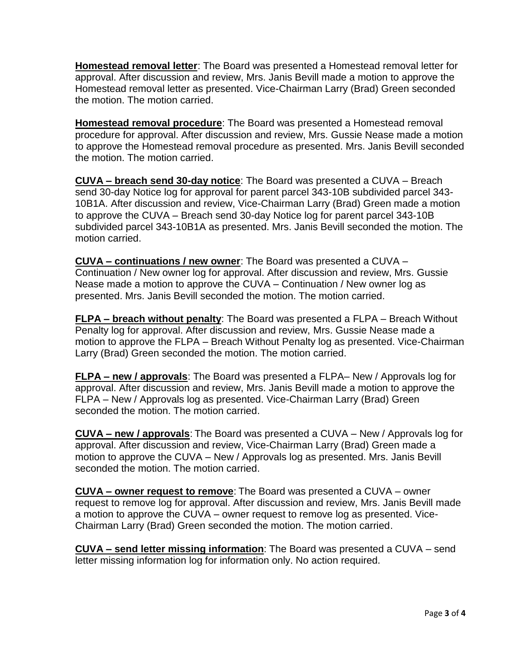**Homestead removal letter**: The Board was presented a Homestead removal letter for approval. After discussion and review, Mrs. Janis Bevill made a motion to approve the Homestead removal letter as presented. Vice-Chairman Larry (Brad) Green seconded the motion. The motion carried.

**Homestead removal procedure**: The Board was presented a Homestead removal procedure for approval. After discussion and review, Mrs. Gussie Nease made a motion to approve the Homestead removal procedure as presented. Mrs. Janis Bevill seconded the motion. The motion carried.

**CUVA – breach send 30-day notice**: The Board was presented a CUVA – Breach send 30-day Notice log for approval for parent parcel 343-10B subdivided parcel 343- 10B1A. After discussion and review, Vice-Chairman Larry (Brad) Green made a motion to approve the CUVA – Breach send 30-day Notice log for parent parcel 343-10B subdivided parcel 343-10B1A as presented. Mrs. Janis Bevill seconded the motion. The motion carried.

**CUVA – continuations / new owner**: The Board was presented a CUVA – Continuation / New owner log for approval. After discussion and review, Mrs. Gussie Nease made a motion to approve the CUVA – Continuation / New owner log as presented. Mrs. Janis Bevill seconded the motion. The motion carried.

**FLPA – breach without penalty**: The Board was presented a FLPA – Breach Without Penalty log for approval. After discussion and review, Mrs. Gussie Nease made a motion to approve the FLPA – Breach Without Penalty log as presented. Vice-Chairman Larry (Brad) Green seconded the motion. The motion carried.

**FLPA – new / approvals**: The Board was presented a FLPA– New / Approvals log for approval. After discussion and review, Mrs. Janis Bevill made a motion to approve the FLPA – New / Approvals log as presented. Vice-Chairman Larry (Brad) Green seconded the motion. The motion carried.

**CUVA – new / approvals**: The Board was presented a CUVA – New / Approvals log for approval. After discussion and review, Vice-Chairman Larry (Brad) Green made a motion to approve the CUVA – New / Approvals log as presented. Mrs. Janis Bevill seconded the motion. The motion carried.

**CUVA – owner request to remove**: The Board was presented a CUVA – owner request to remove log for approval. After discussion and review, Mrs. Janis Bevill made a motion to approve the CUVA – owner request to remove log as presented. Vice-Chairman Larry (Brad) Green seconded the motion. The motion carried.

**CUVA – send letter missing information**: The Board was presented a CUVA – send letter missing information log for information only. No action required.